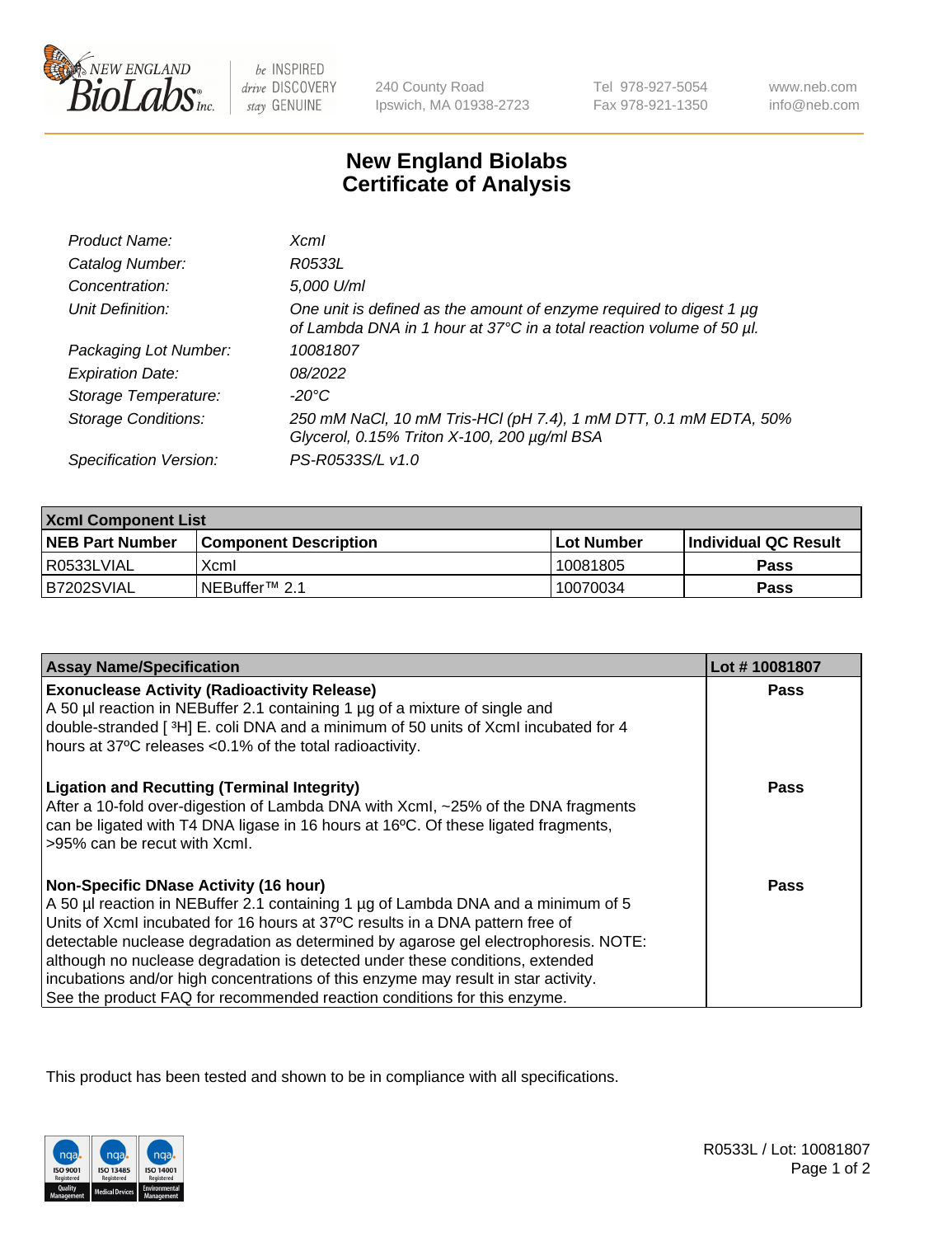

be INSPIRED drive DISCOVERY stay GENUINE

240 County Road Ipswich, MA 01938-2723 Tel 978-927-5054 Fax 978-921-1350

www.neb.com info@neb.com

## **New England Biolabs Certificate of Analysis**

| Product Name:              | $X$ cm $I$                                                                                                                                       |
|----------------------------|--------------------------------------------------------------------------------------------------------------------------------------------------|
| Catalog Number:            | R0533L                                                                                                                                           |
| Concentration:             | 5,000 U/ml                                                                                                                                       |
| Unit Definition:           | One unit is defined as the amount of enzyme required to digest 1 $\mu$ g<br>of Lambda DNA in 1 hour at 37°C in a total reaction volume of 50 µl. |
| Packaging Lot Number:      | 10081807                                                                                                                                         |
| <b>Expiration Date:</b>    | 08/2022                                                                                                                                          |
| Storage Temperature:       | -20°C                                                                                                                                            |
| <b>Storage Conditions:</b> | 250 mM NaCl, 10 mM Tris-HCl (pH 7.4), 1 mM DTT, 0.1 mM EDTA, 50%<br>Glycerol, 0.15% Triton X-100, 200 µg/ml BSA                                  |
| Specification Version:     | PS-R0533S/L v1.0                                                                                                                                 |

| <b>Xcml Component List</b> |                              |            |                      |  |
|----------------------------|------------------------------|------------|----------------------|--|
| <b>NEB Part Number</b>     | <b>Component Description</b> | Lot Number | Individual QC Result |  |
| I R0533LVIAL               | Xcml                         | 10081805   | <b>Pass</b>          |  |
| B7202SVIAL                 | INEBuffer <sup>™</sup> 2.1   | 10070034   | Pass                 |  |

| <b>Assay Name/Specification</b>                                                                                                                                                                                                                                                                                                                                                                                                                                                  | Lot #10081807 |
|----------------------------------------------------------------------------------------------------------------------------------------------------------------------------------------------------------------------------------------------------------------------------------------------------------------------------------------------------------------------------------------------------------------------------------------------------------------------------------|---------------|
| <b>Exonuclease Activity (Radioactivity Release)</b><br>A 50 µl reaction in NEBuffer 2.1 containing 1 µg of a mixture of single and                                                                                                                                                                                                                                                                                                                                               | Pass          |
| double-stranded [3H] E. coli DNA and a minimum of 50 units of Xcml incubated for 4                                                                                                                                                                                                                                                                                                                                                                                               |               |
| hours at 37°C releases <0.1% of the total radioactivity.                                                                                                                                                                                                                                                                                                                                                                                                                         |               |
| <b>Ligation and Recutting (Terminal Integrity)</b><br>After a 10-fold over-digestion of Lambda DNA with XcmI, ~25% of the DNA fragments<br>can be ligated with T4 DNA ligase in 16 hours at 16°C. Of these ligated fragments,<br>>95% can be recut with Xcml.                                                                                                                                                                                                                    | Pass          |
| <b>Non-Specific DNase Activity (16 hour)</b><br>A 50 µl reaction in NEBuffer 2.1 containing 1 µg of Lambda DNA and a minimum of 5<br>Units of XcmI incubated for 16 hours at 37°C results in a DNA pattern free of<br>detectable nuclease degradation as determined by agarose gel electrophoresis. NOTE:<br>although no nuclease degradation is detected under these conditions, extended<br>incubations and/or high concentrations of this enzyme may result in star activity. | Pass          |
| See the product FAQ for recommended reaction conditions for this enzyme.                                                                                                                                                                                                                                                                                                                                                                                                         |               |

This product has been tested and shown to be in compliance with all specifications.